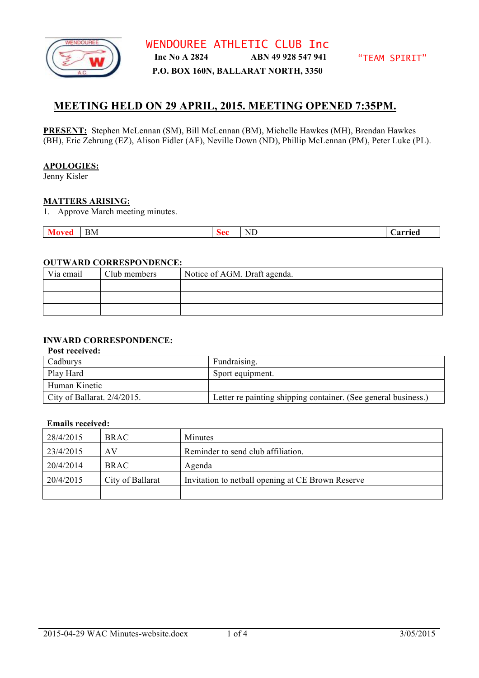

# **MEETING HELD ON 29 APRIL, 2015. MEETING OPENED 7:35PM.**

**PRESENT:** Stephen McLennan (SM), Bill McLennan (BM), Michelle Hawkes (MH), Brendan Hawkes (BH), Eric Zehrung (EZ), Alison Fidler (AF), Neville Down (ND), Phillip McLennan (PM), Peter Luke (PL).

## **APOLOGIES:**

Jenny Kisler

## **MATTERS ARISING:**

1. Approve March meeting minutes.

| <u>tu</u><br>. | BМ | $\mathbf{v}$ | --<br>N.<br>໋<br>the contract of the contract of the contract of | ierrieu – |
|----------------|----|--------------|------------------------------------------------------------------|-----------|

# **OUTWARD CORRESPONDENCE:**

| Via email | Club members | Notice of AGM. Draft agenda. |
|-----------|--------------|------------------------------|
|           |              |                              |
|           |              |                              |
|           |              |                              |

# **INWARD CORRESPONDENCE:**

| Post received:                 |                                                                |  |
|--------------------------------|----------------------------------------------------------------|--|
| Cadburys                       | Fundraising.                                                   |  |
| Play Hard                      | Sport equipment.                                               |  |
| Human Kinetic                  |                                                                |  |
| City of Ballarat. $2/4/2015$ . | Letter re painting shipping container. (See general business.) |  |

#### **Emails received:**

| 28/4/2015 | <b>BRAC</b>      | Minutes                                           |
|-----------|------------------|---------------------------------------------------|
| 23/4/2015 | AV               | Reminder to send club affiliation.                |
| 20/4/2014 | <b>BRAC</b>      | Agenda                                            |
| 20/4/2015 | City of Ballarat | Invitation to netball opening at CE Brown Reserve |
|           |                  |                                                   |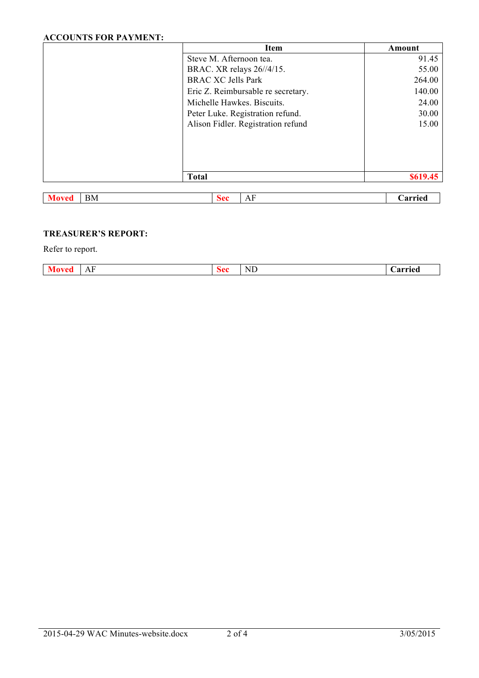# **ACCOUNTS FOR PAYMENT:**

|                           | <b>Item</b>                        | Amount   |
|---------------------------|------------------------------------|----------|
|                           | Steve M. Afternoon tea.            | 91.45    |
|                           | BRAC. XR relays 26//4/15.          | 55.00    |
|                           | <b>BRAC XC Jells Park</b>          | 264.00   |
|                           | Eric Z. Reimbursable re secretary. | 140.00   |
|                           | Michelle Hawkes, Biscuits.         | 24.00    |
|                           | Peter Luke. Registration refund.   | 30.00    |
|                           | Alison Fidler. Registration refund | 15.00    |
|                           |                                    |          |
|                           |                                    |          |
|                           |                                    |          |
|                           |                                    |          |
|                           | <b>Total</b>                       | \$619.45 |
|                           |                                    |          |
| <b>BM</b><br><b>Moved</b> | AF<br><b>Sec</b>                   | Carried  |

# **TREASURER'S REPORT:**

Refer to report.

| TT<br>-<br>$- - - - -$<br>$\mathbf{\Lambda}$ |                |    |  |
|----------------------------------------------|----------------|----|--|
| <br>1 L<br>1 F.T                             | $\overline{ }$ | N. |  |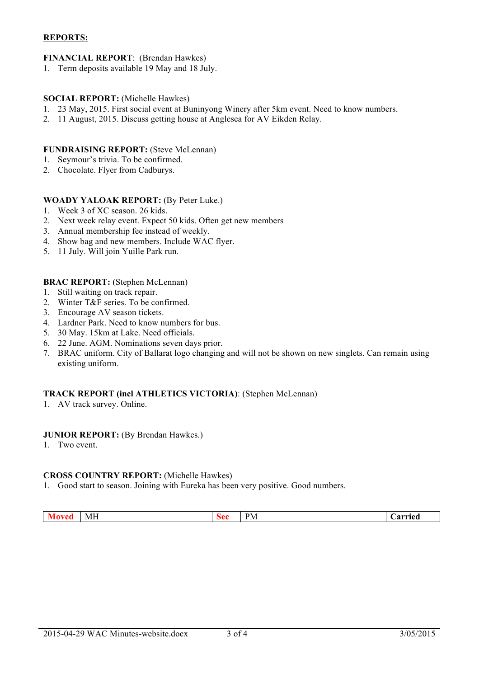# **REPORTS:**

# **FINANCIAL REPORT**: (Brendan Hawkes)

1. Term deposits available 19 May and 18 July.

# **SOCIAL REPORT:** (Michelle Hawkes)

- 1. 23 May, 2015. First social event at Buninyong Winery after 5km event. Need to know numbers.
- 2. 11 August, 2015. Discuss getting house at Anglesea for AV Eikden Relay.

# **FUNDRAISING REPORT:** (Steve McLennan)

- 1. Seymour's trivia. To be confirmed.
- 2. Chocolate. Flyer from Cadburys.

# **WOADY YALOAK REPORT:** (By Peter Luke.)

- 1. Week 3 of XC season. 26 kids.
- 2. Next week relay event. Expect 50 kids. Often get new members
- 3. Annual membership fee instead of weekly.
- 4. Show bag and new members. Include WAC flyer.
- 5. 11 July. Will join Yuille Park run.

## **BRAC REPORT:** (Stephen McLennan)

- 1. Still waiting on track repair.
- 2. Winter T&F series. To be confirmed.
- 3. Encourage AV season tickets.
- 4. Lardner Park. Need to know numbers for bus.
- 5. 30 May. 15km at Lake. Need officials.
- 6. 22 June. AGM. Nominations seven days prior.
- 7. BRAC uniform. City of Ballarat logo changing and will not be shown on new singlets. Can remain using existing uniform.

## **TRACK REPORT (incl ATHLETICS VICTORIA)**: (Stephen McLennan)

1. AV track survey. Online.

## **JUNIOR REPORT:** (By Brendan Hawkes.)

1. Two event.

## **CROSS COUNTRY REPORT:** (Michelle Hawkes)

1. Good start to season. Joining with Eureka has been very positive. Good numbers.